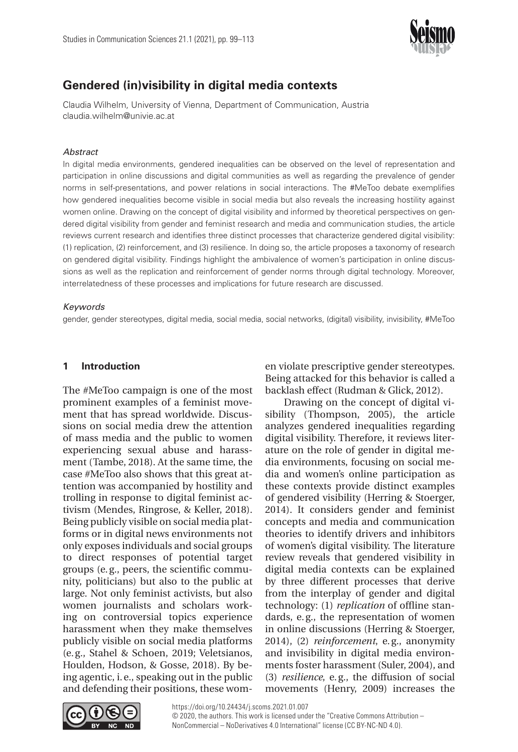

# **Gendered (in)visibility in digital media contexts**

Claudia Wilhelm, University of Vienna, Department of Communication, Austria claudia.wilhelm@univie.ac.at

## **Abstract**

In digital media environments, gendered inequalities can be observed on the level of representation and participation in online discussions and digital communities as well as regarding the prevalence of gender norms in self-presentations, and power relations in social interactions. The #MeToo debate exemplifies how gendered inequalities become visible in social media but also reveals the increasing hostility against women online. Drawing on the concept of digital visibility and informed by theoretical perspectives on gendered digital visibility from gender and feminist research and media and communication studies, the article reviews current research and identifies three distinct processes that characterize gendered digital visibility: (1) replication, (2) reinforcement, and (3) resilience. In doing so, the article proposes a taxonomy of research on gendered digital visibility. Findings highlight the ambivalence of women's participation in online discussions as well as the replication and reinforcement of gender norms through digital technology. Moreover, interrelatedness of these processes and implications for future research are discussed.

## Keywords

gender, gender stereotypes, digital media, social media, social networks, (digital) visibility, invisibility, #MeToo

# **1 Introduction**

The #MeToo campaign is one of the most prominent examples of a feminist movement that has spread worldwide. Discussions on social media drew the attention of mass media and the public to women experiencing sexual abuse and harassment (Tambe, 2018). At the same time, the case #MeToo also shows that this great attention was accompanied by hostility and trolling in response to digital feminist activism (Mendes, Ringrose, & Keller, 2018). Being publicly visible on social media platforms or in digital news environments not only exposes individuals and social groups to direct responses of potential target groups (e. g., peers, the scientific community, politicians) but also to the public at large. Not only feminist activists, but also women journalists and scholars working on controversial topics experience harassment when they make themselves publicly visible on social media platforms (e. g., Stahel & Schoen, 2019; Veletsianos, Houlden, Hodson, & Gosse, 2018). By being agentic, i. e., speaking out in the public and defending their positions, these women violate prescriptive gender stereotypes. Being attacked for this behavior is called a backlash effect (Rudman & Glick, 2012).

Drawing on the concept of digital visibility (Thompson, 2005), the article analyzes gendered inequalities regarding digital visibility. Therefore, it reviews literature on the role of gender in digital media environments, focusing on social media and women's online participation as these contexts provide distinct examples of gendered visibility (Herring & Stoerger, 2014). It considers gender and feminist concepts and media and communication theories to identify drivers and inhibitors of women's digital visibility. The literature review reveals that gendered visibility in digital media contexts can be explained by three different processes that derive from the interplay of gender and digital technology: (1) *replication* of offline standards, e. g., the representation of women in online discussions (Herring & Stoerger, 2014), (2) *reinforcement*, e. g., anonymity and invisibility in digital media environments foster harassment (Suler, 2004), and (3) *resilience*, e. g., the diffusion of social movements (Henry, 2009) increases the

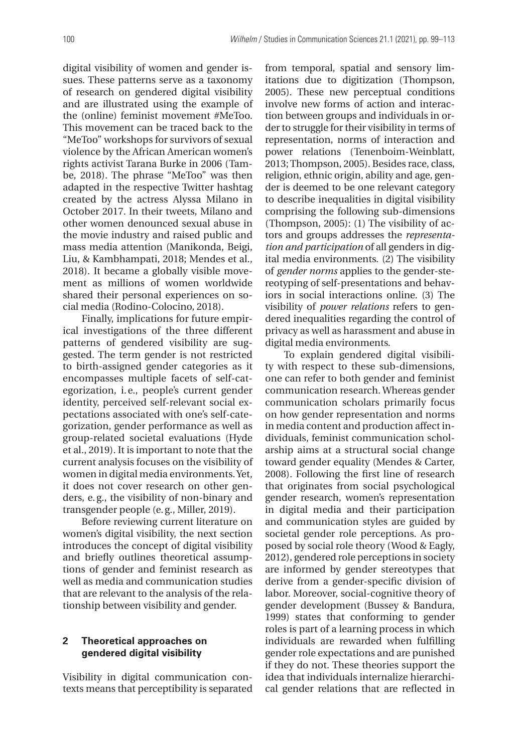digital visibility of women and gender issues. These patterns serve as a taxonomy of research on gendered digital visibility and are illustrated using the example of the (online) feminist movement #MeToo. This movement can be traced back to the "MeToo" workshops for survivors of sexual violence by the African American women's rights activist Tarana Burke in 2006 (Tambe, 2018). The phrase "MeToo" was then adapted in the respective Twitter hashtag created by the actress Alyssa Milano in October 2017. In their tweets, Milano and other women denounced sexual abuse in the movie industry and raised public and mass media attention (Manikonda, Beigi, Liu, & Kambhampati, 2018; Mendes et al., 2018). It became a globally visible movement as millions of women worldwide shared their personal experiences on social media (Rodino-Colocino, 2018).

Finally, implications for future empirical investigations of the three different patterns of gendered visibility are suggested. The term gender is not restricted to birth-assigned gender categories as it encompasses multiple facets of self-categorization, i. e., people's current gender identity, perceived self-relevant social expectations associated with one's self-categorization, gender performance as well as group-related societal evaluations (Hyde et al., 2019). It is important to note that the current analysis focuses on the visibility of women in digital media environments. Yet, it does not cover research on other genders, e. g., the visibility of non-binary and transgender people (e. g., Miller, 2019).

Before reviewing current literature on women's digital visibility, the next section introduces the concept of digital visibility and briefly outlines theoretical assumptions of gender and feminist research as well as media and communication studies that are relevant to the analysis of the relationship between visibility and gender.

# **2 Theoretical approaches on gendered digital visibility**

Visibility in digital communication contexts means that perceptibility is separated from temporal, spatial and sensory limitations due to digitization (Thompson, 2005). These new perceptual conditions involve new forms of action and interaction between groups and individuals in order to struggle for their visibility in terms of representation, norms of interaction and power relations (Tenenboim-Weinblatt, 2013; Thompson, 2005). Besides race, class, religion, ethnic origin, ability and age, gender is deemed to be one relevant category to describe inequalities in digital visibility comprising the following sub-dimensions (Thompson, 2005): (1) The visibility of actors and groups addresses the *representation and participation* of all genders in digital media environments. (2) The visibility of *gender norms* applies to the gender-stereotyping of self-presentations and behaviors in social interactions online. (3) The visibility of *power relations* refers to gendered inequalities regarding the control of privacy as well as harassment and abuse in digital media environments.

To explain gendered digital visibility with respect to these sub-dimensions, one can refer to both gender and feminist communication research. Whereas gender communication scholars primarily focus on how gender representation and norms in media content and production affect individuals, feminist communication scholarship aims at a structural social change toward gender equality (Mendes & Carter, 2008). Following the first line of research that originates from social psychological gender research, women's representation in digital media and their participation and communication styles are guided by societal gender role perceptions. As proposed by social role theory (Wood & Eagly, 2012), gendered role perceptions in society are informed by gender stereotypes that derive from a gender-specific division of labor. Moreover, social-cognitive theory of gender development (Bussey & Bandura, 1999) states that conforming to gender roles is part of a learning process in which individuals are rewarded when fulfilling gender role expectations and are punished if they do not. These theories support the idea that individuals internalize hierarchical gender relations that are reflected in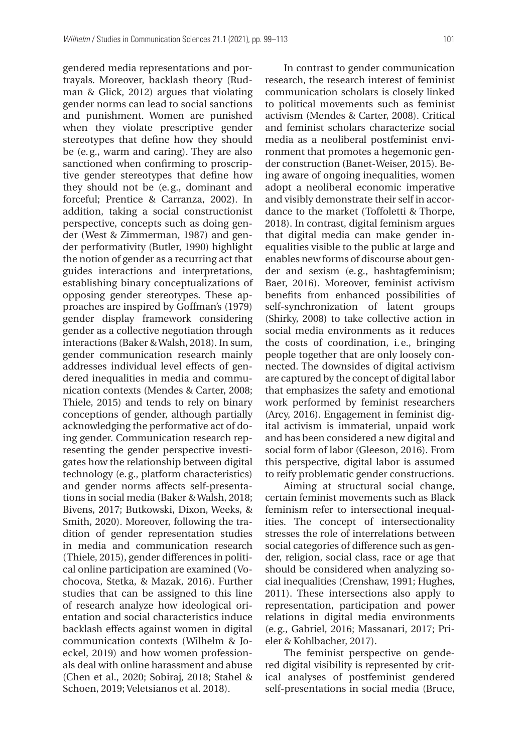gendered media representations and portrayals. Moreover, backlash theory (Rudman & Glick, 2012) argues that violating gender norms can lead to social sanctions and punishment. Women are punished when they violate prescriptive gender stereotypes that define how they should be (e. g., warm and caring). They are also sanctioned when confirming to proscriptive gender stereotypes that define how they should not be (e. g., dominant and forceful; Prentice & Carranza, 2002). In addition, taking a social constructionist perspective, concepts such as doing gender (West & Zimmerman, 1987) and gender performativity (Butler, 1990) highlight the notion of gender as a recurring act that guides interactions and interpretations, establishing binary conceptualizations of opposing gender stereotypes. These approaches are inspired by Goffman's (1979) gender display framework considering gender as a collective negotiation through interactions (Baker & Walsh, 2018). In sum, gender communication research mainly addresses individual level effects of gendered inequalities in media and communication contexts (Mendes & Carter, 2008; Thiele, 2015) and tends to rely on binary conceptions of gender, although partially acknowledging the performative act of doing gender. Communication research representing the gender perspective investigates how the relationship between digital technology (e. g., platform characteristics) and gender norms affects self-presentations in social media (Baker & Walsh, 2018; Bivens, 2017; Butkowski, Dixon, Weeks, & Smith, 2020). Moreover, following the tradition of gender representation studies in media and communication research (Thiele, 2015), gender differences in political online participation are examined (Vochocova, Stetka, & Mazak, 2016). Further studies that can be assigned to this line of research analyze how ideological orientation and social characteristics induce backlash effects against women in digital communication contexts (Wilhelm & Joeckel, 2019) and how women professionals deal with online harassment and abuse (Chen et al., 2020; Sobiraj, 2018; Stahel & Schoen, 2019; Veletsianos et al. 2018).

In contrast to gender communication research, the research interest of feminist communication scholars is closely linked to political movements such as feminist activism (Mendes & Carter, 2008). Critical and feminist scholars characterize social media as a neoliberal postfeminist environment that promotes a hegemonic gender construction (Banet-Weiser, 2015). Being aware of ongoing inequalities, women adopt a neoliberal economic imperative and visibly demonstrate their self in accordance to the market (Toffoletti & Thorpe, 2018). In contrast, digital feminism argues that digital media can make gender inequalities visible to the public at large and enables new forms of discourse about gender and sexism (e. g., hashtagfeminism; Baer, 2016). Moreover, feminist activism benefits from enhanced possibilities of self-synchronization of latent groups (Shirky, 2008) to take collective action in social media environments as it reduces the costs of coordination, i. e., bringing people together that are only loosely connected. The downsides of digital activism are captured by the concept of digital labor that emphasizes the safety and emotional work performed by feminist researchers (Arcy, 2016). Engagement in feminist digital activism is immaterial, unpaid work and has been considered a new digital and social form of labor (Gleeson, 2016). From this perspective, digital labor is assumed to reify problematic gender constructions.

Aiming at structural social change, certain feminist movements such as Black feminism refer to intersectional inequalities. The concept of intersectionality stresses the role of interrelations between social categories of difference such as gender, religion, social class, race or age that should be considered when analyzing social inequalities (Crenshaw, 1991; Hughes, 2011). These intersections also apply to representation, participation and power relations in digital media environments (e. g., Gabriel, 2016; Massanari, 2017; Prieler & Kohlbacher, 2017).

The feminist perspective on gendered digital visibility is represented by critical analyses of postfeminist gendered self-presentations in social media (Bruce,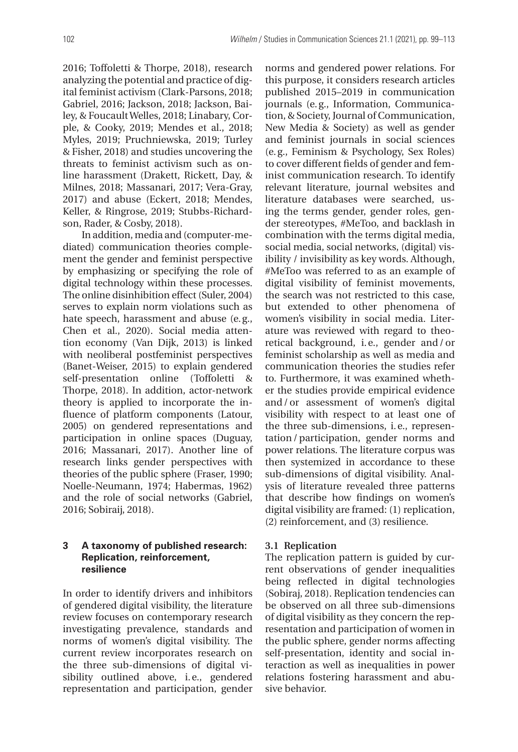2016; Toffoletti & Thorpe, 2018), research analyzing the potential and practice of digital feminist activism (Clark-Parsons, 2018; Gabriel, 2016; Jackson, 2018; Jackson, Bailey, & Foucault Welles, 2018; Linabary, Corple, & Cooky, 2019; Mendes et al., 2018; Myles, 2019; Pruchniewska, 2019; Turley & Fisher, 2018) and studies uncovering the threats to feminist activism such as online harassment (Drakett, Rickett, Day, & Milnes, 2018; Massanari, 2017; Vera-Gray, 2017) and abuse (Eckert, 2018; Mendes, Keller, & Ringrose, 2019; Stubbs-Richardson, Rader, & Cosby, 2018).

In addition, media and (computer-mediated) communication theories complement the gender and feminist perspective by emphasizing or specifying the role of digital technology within these processes. The online disinhibition effect (Suler, 2004) serves to explain norm violations such as hate speech, harassment and abuse (e. g., Chen et al., 2020). Social media attention economy (Van Dijk, 2013) is linked with neoliberal postfeminist perspectives (Banet-Weiser, 2015) to explain gendered self-presentation online (Toffoletti & Thorpe, 2018). In addition, actor-network theory is applied to incorporate the influence of platform components (Latour, 2005) on gendered representations and participation in online spaces (Duguay, 2016; Massanari, 2017). Another line of research links gender perspectives with theories of the public sphere (Fraser, 1990; Noelle-Neumann, 1974; Habermas, 1962) and the role of social networks (Gabriel, 2016; Sobiraij, 2018).

# **3 A taxonomy of published research: Replication, reinforcement, resilience**

In order to identify drivers and inhibitors of gendered digital visibility, the literature review focuses on contemporary research investigating prevalence, standards and norms of women's digital visibility. The current review incorporates research on the three sub-dimensions of digital visibility outlined above, i.e., gendered representation and participation, gender

norms and gendered power relations. For this purpose, it considers research articles published 2015–2019 in communication journals (e. g., Information, Communication, & Society, Journal of Communication, New Media & Society) as well as gender and feminist journals in social sciences (e. g., Feminism & Psychology, Sex Roles) to cover different fields of gender and feminist communication research. To identify relevant literature, journal websites and literature databases were searched, using the terms gender, gender roles, gender stereotypes, #MeToo, and backlash in combination with the terms digital media, social media, social networks, (digital) visibility / invisibility as key words. Although, #MeToo was referred to as an example of digital visibility of feminist movements, the search was not restricted to this case, but extended to other phenomena of women's visibility in social media. Literature was reviewed with regard to theoretical background, i.e., gender and/or feminist scholarship as well as media and communication theories the studies refer to. Furthermore, it was examined whether the studies provide empirical evidence and / or assessment of women's digital visibility with respect to at least one of the three sub-dimensions, i. e., representation / participation, gender norms and power relations. The literature corpus was then systemized in accordance to these sub-dimensions of digital visibility. Analysis of literature revealed three patterns that describe how findings on women's digital visibility are framed: (1) replication, (2) reinforcement, and (3) resilience.

## **3.1 Replication**

The replication pattern is guided by current observations of gender inequalities being reflected in digital technologies (Sobiraj, 2018). Replication tendencies can be observed on all three sub-dimensions of digital visibility as they concern the representation and participation of women in the public sphere, gender norms affecting self-presentation, identity and social interaction as well as inequalities in power relations fostering harassment and abusive behavior.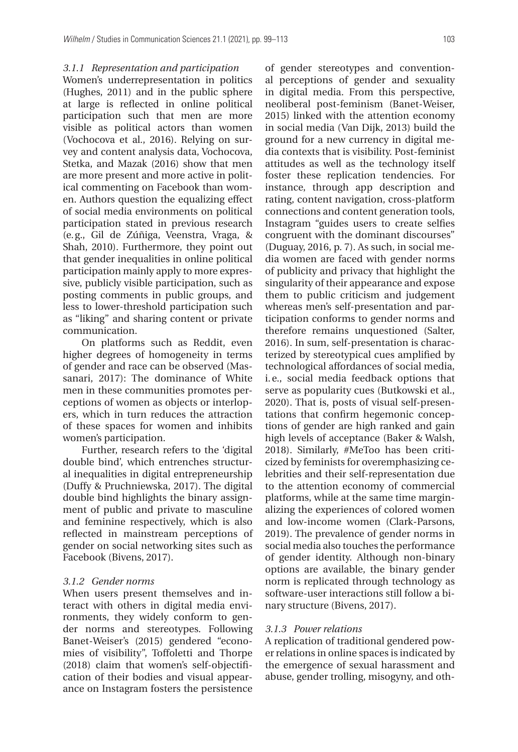## *3.1.1 Representation and participation*

Women's underrepresentation in politics (Hughes, 2011) and in the public sphere at large is reflected in online political participation such that men are more visible as political actors than women (Vochocova et al., 2016). Relying on survey and content analysis data, Vochocova, Stetka, and Mazak (2016) show that men are more present and more active in political commenting on Facebook than women. Authors question the equalizing effect of social media environments on political participation stated in previous research (e. g., Gil de Zúñiga, Veenstra, Vraga, & Shah, 2010). Furthermore, they point out that gender inequalities in online political participation mainly apply to more expressive, publicly visible participation, such as posting comments in public groups, and less to lower-threshold participation such as "liking" and sharing content or private communication.

On platforms such as Reddit, even higher degrees of homogeneity in terms of gender and race can be observed (Massanari, 2017): The dominance of White men in these communities promotes perceptions of women as objects or interlopers, which in turn reduces the attraction of these spaces for women and inhibits women's participation.

Further, research refers to the 'digital double bind', which entrenches structural inequalities in digital entrepreneurship (Duffy & Pruchniewska, 2017). The digital double bind highlights the binary assignment of public and private to masculine and feminine respectively, which is also reflected in mainstream perceptions of gender on social networking sites such as Facebook (Bivens, 2017).

## *3.1.2 Gender norms*

When users present themselves and interact with others in digital media environments, they widely conform to gender norms and stereotypes. Following Banet-Weiser's (2015) gendered "economies of visibility", Toffoletti and Thorpe (2018) claim that women's self-objectification of their bodies and visual appearance on Instagram fosters the persistence

of gender stereotypes and conventional perceptions of gender and sexuality in digital media. From this perspective, neoliberal post-feminism (Banet-Weiser, 2015) linked with the attention economy in social media (Van Dijk, 2013) build the ground for a new currency in digital media contexts that is visibility. Post-feminist attitudes as well as the technology itself foster these replication tendencies. For instance, through app description and rating, content navigation, cross-platform connections and content generation tools, Instagram "guides users to create selfies congruent with the dominant discourses" (Duguay, 2016, p. 7). As such, in social media women are faced with gender norms of publicity and privacy that highlight the singularity of their appearance and expose them to public criticism and judgement whereas men's self-presentation and participation conforms to gender norms and therefore remains unquestioned (Salter, 2016). In sum, self-presentation is characterized by stereotypical cues amplified by technological affordances of social media, i. e., social media feedback options that serve as popularity cues (Butkowski et al., 2020). That is, posts of visual self-presentations that confirm hegemonic conceptions of gender are high ranked and gain high levels of acceptance (Baker & Walsh, 2018). Similarly, #MeToo has been criticized by feminists for overemphasizing celebrities and their self-representation due to the attention economy of commercial platforms, while at the same time marginalizing the experiences of colored women and low-income women (Clark-Parsons, 2019). The prevalence of gender norms in social media also touches the performance of gender identity. Although non-binary options are available, the binary gender norm is replicated through technology as software-user interactions still follow a binary structure (Bivens, 2017).

## *3.1.3 Power relations*

A replication of traditional gendered power relations in online spaces is indicated by the emergence of sexual harassment and abuse, gender trolling, misogyny, and oth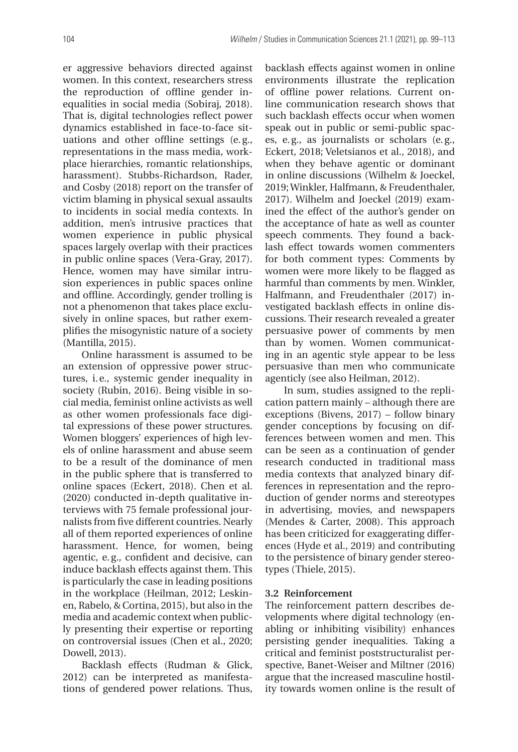er aggressive behaviors directed against women. In this context, researchers stress the reproduction of offline gender inequalities in social media (Sobiraj, 2018). That is, digital technologies reflect power dynamics established in face-to-face situations and other offline settings (e. g., representations in the mass media, workplace hierarchies, romantic relationships, harassment). Stubbs-Richardson, Rader, and Cosby (2018) report on the transfer of victim blaming in physical sexual assaults to incidents in social media contexts. In addition, men's intrusive practices that women experience in public physical spaces largely overlap with their practices in public online spaces (Vera-Gray, 2017). Hence, women may have similar intrusion experiences in public spaces online and offline. Accordingly, gender trolling is not a phenomenon that takes place exclusively in online spaces, but rather exemplifies the misogynistic nature of a society (Mantilla, 2015).

Online harassment is assumed to be an extension of oppressive power structures, i. e., systemic gender inequality in society (Rubin, 2016). Being visible in social media, feminist online activists as well as other women professionals face digital expressions of these power structures. Women bloggers' experiences of high levels of online harassment and abuse seem to be a result of the dominance of men in the public sphere that is transferred to online spaces (Eckert, 2018). Chen et al. (2020) conducted in-depth qualitative interviews with 75 female professional journalists from five different countries. Nearly all of them reported experiences of online harassment. Hence, for women, being agentic, e. g., confident and decisive, can induce backlash effects against them. This is particularly the case in leading positions in the workplace (Heilman, 2012; Leskinen, Rabelo, & Cortina, 2015), but also in the media and academic context when publicly presenting their expertise or reporting on controversial issues (Chen et al., 2020; Dowell, 2013).

Backlash effects (Rudman & Glick, 2012) can be interpreted as manifestations of gendered power relations. Thus, backlash effects against women in online environments illustrate the replication of offline power relations. Current online communication research shows that such backlash effects occur when women speak out in public or semi-public spaces, e. g., as journalists or scholars (e. g., Eckert, 2018; Veletsianos et al., 2018), and when they behave agentic or dominant in online discussions (Wilhelm & Joeckel, 2019; Winkler, Halfmann, & Freudenthaler, 2017). Wilhelm and Joeckel (2019) examined the effect of the author's gender on the acceptance of hate as well as counter speech comments. They found a backlash effect towards women commenters for both comment types: Comments by women were more likely to be flagged as harmful than comments by men. Winkler, Halfmann, and Freudenthaler (2017) investigated backlash effects in online discussions. Their research revealed a greater persuasive power of comments by men than by women. Women communicating in an agentic style appear to be less persuasive than men who communicate agenticly (see also Heilman, 2012).

In sum, studies assigned to the replication pattern mainly – although there are exceptions (Bivens, 2017) – follow binary gender conceptions by focusing on differences between women and men. This can be seen as a continuation of gender research conducted in traditional mass media contexts that analyzed binary differences in representation and the reproduction of gender norms and stereotypes in advertising, movies, and newspapers (Mendes & Carter, 2008). This approach has been criticized for exaggerating differences (Hyde et al., 2019) and contributing to the persistence of binary gender stereotypes (Thiele, 2015).

## **3.2 Reinforcement**

The reinforcement pattern describes developments where digital technology (enabling or inhibiting visibility) enhances persisting gender inequalities. Taking a critical and feminist poststructuralist perspective, Banet-Weiser and Miltner (2016) argue that the increased masculine hostility towards women online is the result of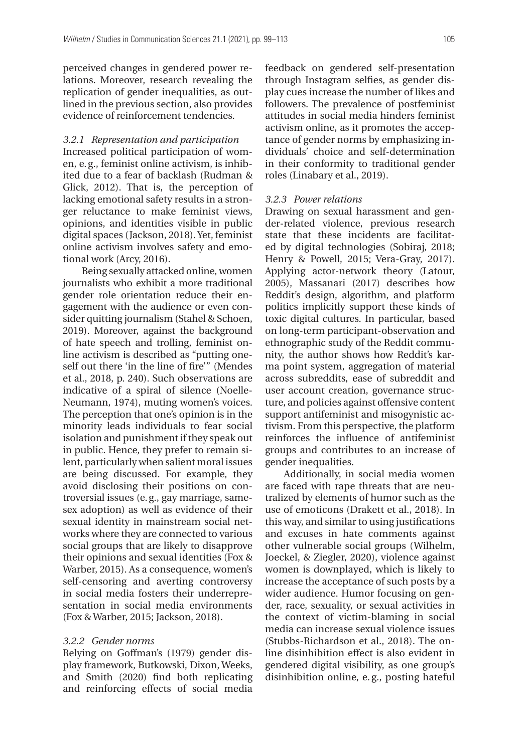perceived changes in gendered power relations. Moreover, research revealing the replication of gender inequalities, as outlined in the previous section, also provides evidence of reinforcement tendencies.

## *3.2.1 Representation and participation*

Increased political participation of women, e. g., feminist online activism, is inhibited due to a fear of backlash (Rudman & Glick, 2012). That is, the perception of lacking emotional safety results in a stronger reluctance to make feminist views, opinions, and identities visible in public digital spaces (Jackson, 2018). Yet, feminist online activism involves safety and emotional work (Arcy, 2016).

Being sexually attacked online, women journalists who exhibit a more traditional gender role orientation reduce their engagement with the audience or even consider quitting journalism (Stahel & Schoen, 2019). Moreover, against the background of hate speech and trolling, feminist online activism is described as "putting oneself out there 'in the line of fire'" (Mendes et al., 2018, p. 240). Such observations are in dicative of a spiral of silence (Noelle-Neumann, 1974), muting women's voices. The perception that one's opinion is in the minority leads individuals to fear social isolation and punishment if they speak out in public. Hence, they prefer to remain silent, particularly when salient moral issues are being discussed. For example, they avoid disclosing their positions on controversial issues (e. g., gay marriage, samesex adoption) as well as evidence of their sexual identity in mainstream social networks where they are connected to various social groups that are likely to disapprove their opinions and sexual identities (Fox & Warber, 2015). As a consequence, women's self-censoring and averting controversy in social media fosters their underrepresentation in social media environments (Fox & Warber, 2015; Jackson, 2018).

#### *3.2.2 Gender norms*

Relying on Goffman's (1979) gender display framework, Butkowski, Dixon, Weeks, and Smith (2020) find both replicating and reinforcing effects of social media

feedback on gendered self-presentation through Instagram selfies, as gender display cues increase the number of likes and followers. The prevalence of postfeminist attitudes in social media hinders feminist activism online, as it promotes the acceptance of gender norms by emphasizing individuals' choice and self-determination in their conformity to traditional gender roles (Linabary et al., 2019).

### *3.2.3 Power relations*

Drawing on sexual harassment and gender-related violence, previous research state that these incidents are facilitated by digital technologies (Sobiraj, 2018; Henry & Powell, 2015; Vera-Gray, 2017). Applying actor-network theory (Latour, 2005), Massanari (2017) describes how Reddit's design, algorithm, and platform politics implicitly support these kinds of toxic digital cultures. In particular, based on long-term participant-observation and ethnographic study of the Reddit community, the author shows how Reddit's karma point system, aggregation of material across subreddits, ease of subreddit and user account creation, governance structure, and policies against offensive content support antifeminist and misogynistic activism. From this perspective, the platform reinforces the influence of antifeminist groups and contributes to an increase of gender inequalities.

Additionally, in social media women are faced with rape threats that are neutralized by elements of humor such as the use of emoticons (Drakett et al., 2018). In this way, and similar to using justifications and excuses in hate comments against other vulnerable social groups (Wilhelm, Joeckel, & Ziegler, 2020), violence against women is downplayed, which is likely to increase the acceptance of such posts by a wider audience. Humor focusing on gender, race, sexuality, or sexual activities in the context of victim-blaming in social media can increase sexual violence issues (Stubbs-Richardson et al., 2018). The online disinhibition effect is also evident in gendered digital visibility, as one group's disinhibition online, e. g., posting hateful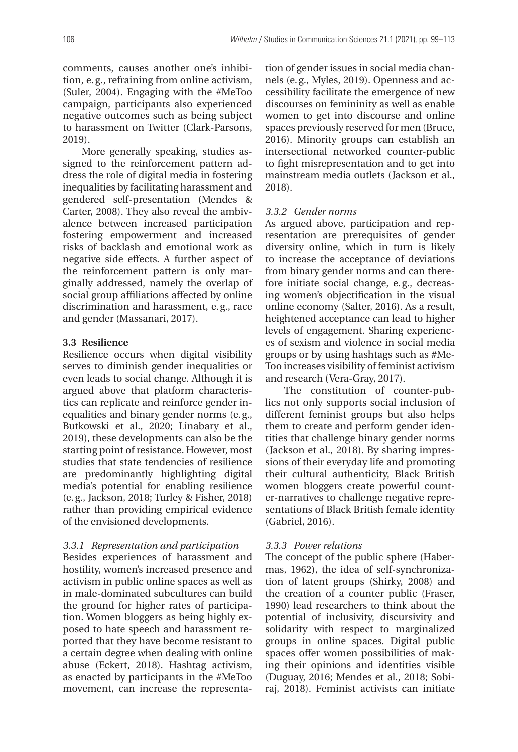comments, causes another one's inhibition, e. g., refraining from online activism, (Suler, 2004). Engaging with the #MeToo campaign, participants also experienced negative outcomes such as being subject to harassment on Twitter (Clark-Parsons, 2019).

More generally speaking, studies assigned to the reinforcement pattern address the role of digital media in fostering inequalities by facilitating harassment and gendered self-presentation (Mendes & Carter, 2008). They also reveal the ambivalence between increased participation fostering empowerment and increased risks of backlash and emotional work as negative side effects. A further aspect of the reinforcement pattern is only marginally addressed, namely the overlap of social group affiliations affected by online discrimination and harassment, e. g., race and gender (Massanari, 2017).

### **3.3 Resilience**

Resilience occurs when digital visibility serves to diminish gender inequalities or even leads to social change. Although it is argued above that platform characteristics can replicate and reinforce gender inequalities and binary gender norms (e. g., Butkowski et al., 2020; Linabary et al., 2019), these developments can also be the starting point of resistance. However, most studies that state tendencies of resilience are predominantly highlighting digital media's potential for enabling resilience (e. g., Jackson, 2018; Turley & Fisher, 2018) rather than providing empirical evidence of the envisioned developments.

## *3.3.1 Representation and participation*

Besides experiences of harassment and hostility, women's increased presence and activism in public online spaces as well as in male-dominated subcultures can build the ground for higher rates of participation. Women bloggers as being highly exposed to hate speech and harassment reported that they have become resistant to a certain degree when dealing with online abuse (Eckert, 2018). Hashtag activism, as enacted by participants in the #MeToo movement, can increase the representa-

tion of gender issues in social media channels (e. g., Myles, 2019). Openness and accessibility facilitate the emergence of new discourses on femininity as well as enable women to get into discourse and online spaces previously reserved for men (Bruce, 2016). Minority groups can establish an intersectional networked counter-public to fight misrepresentation and to get into mainstream media outlets (Jackson et al., 2018).

## *3.3.2 Gender norms*

As argued above, participation and representation are prerequisites of gender diversity online, which in turn is likely to increase the acceptance of deviations from binary gender norms and can therefore initiate social change, e. g., decreasing women's objectification in the visual online economy (Salter, 2016). As a result, heightened acceptance can lead to higher levels of engagement. Sharing experiences of sexism and violence in social media groups or by using hashtags such as #Me-Too increases visibility of feminist activism and research (Vera-Gray, 2017).

The constitution of counter-publics not only supports social inclusion of different feminist groups but also helps them to create and perform gender identities that challenge binary gender norms (Jackson et al., 2018). By sharing impressions of their everyday life and promoting their cultural authenticity, Black British women bloggers create powerful counter-narratives to challenge negative representations of Black British female identity (Gabriel, 2016).

## *3.3.3 Power relations*

The concept of the public sphere (Habermas, 1962), the idea of self-synchronization of latent groups (Shirky, 2008) and the creation of a counter public (Fraser, 1990) lead researchers to think about the potential of inclusivity, discursivity and solidarity with respect to marginalized groups in online spaces. Digital public spaces offer women possibilities of making their opinions and identities visible (Duguay, 2016; Mendes et al., 2018; Sobiraj, 2018). Feminist activists can initiate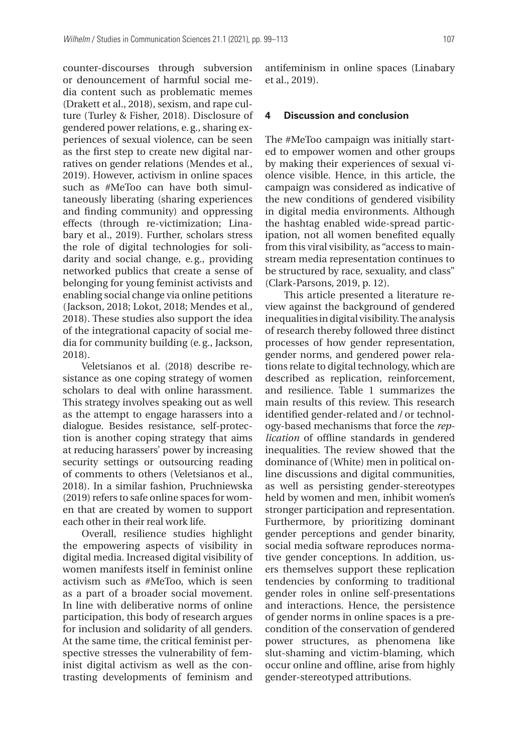counter-discourses through subversion or denouncement of harmful social media content such as problematic memes (Drakett et al., 2018), sexism, and rape culture (Turley & Fisher, 2018). Disclosure of gendered power relations, e. g., sharing experiences of sexual violence, can be seen as the first step to create new digital narratives on gender relations (Mendes et al., 2019). However, activism in online spaces such as #MeToo can have both simultaneously liberating (sharing experiences and finding community) and oppressing effects (through re-victimization; Linabary et al., 2019). Further, scholars stress the role of digital technologies for solidarity and social change, e. g., providing networked publics that create a sense of belonging for young feminist activists and enabling social change via online petitions (Jackson, 2018; Lokot, 2018; Mendes et al., 2018). These studies also support the idea of the integrational capacity of social media for community building (e. g., Jackson, 2018).

Veletsianos et al. (2018) describe resistance as one coping strategy of women scholars to deal with online harassment. This strategy involves speaking out as well as the attempt to engage harassers into a dialogue. Besides resistance, self-protection is another coping strategy that aims at reducing harassers' power by increasing security settings or outsourcing reading of comments to others (Veletsianos et al., 2018). In a similar fashion, Pruchniewska (2019) refers to safe online spaces for women that are created by women to support each other in their real work life.

Overall, resilience studies highlight the empowering aspects of visibility in digital media. Increased digital visibility of women manifests itself in feminist online activism such as #MeToo, which is seen as a part of a broader social movement. In line with deliberative norms of online participation, this body of research argues for inclusion and solidarity of all genders. At the same time, the critical feminist perspective stresses the vulnerability of feminist digital activism as well as the contrasting developments of feminism and

antifeminism in online spaces (Linabary et al., 2019).

# **4 Discussion and conclusion**

The #MeToo campaign was initially started to empower women and other groups by making their experiences of sexual violence visible. Hence, in this article, the campaign was considered as indicative of the new conditions of gendered visibility in digital media environments. Although the hashtag enabled wide-spread participation, not all women benefited equally from this viral visibility, as "access to mainstream media representation continues to be structured by race, sexuality, and class" (Clark-Parsons, 2019, p. 12).

This article presented a literature review against the background of gendered inequalities in digital visibility. The analysis of research thereby followed three distinct processes of how gender representation, gender norms, and gendered power relations relate to digital technology, which are described as replication, reinforcement, and resilience. Table 1 summarizes the main results of this review. This research identified gender-related and / or technology-based mechanisms that force the *replication* of offline standards in gendered inequalities. The review showed that the dominance of (White) men in political online discussions and digital communities, as well as persisting gender-stereotypes held by women and men, inhibit women's stronger participation and representation. Furthermore, by prioritizing dominant gender perceptions and gender binarity, social media software reproduces normative gender conceptions. In addition, users themselves support these replication tendencies by conforming to traditional gender roles in online self-presentations and interactions. Hence, the persistence of gender norms in online spaces is a precondition of the conservation of gendered power structures, as phenomena like slut-shaming and victim-blaming, which occur online and offline, arise from highly gender-stereotyped attributions.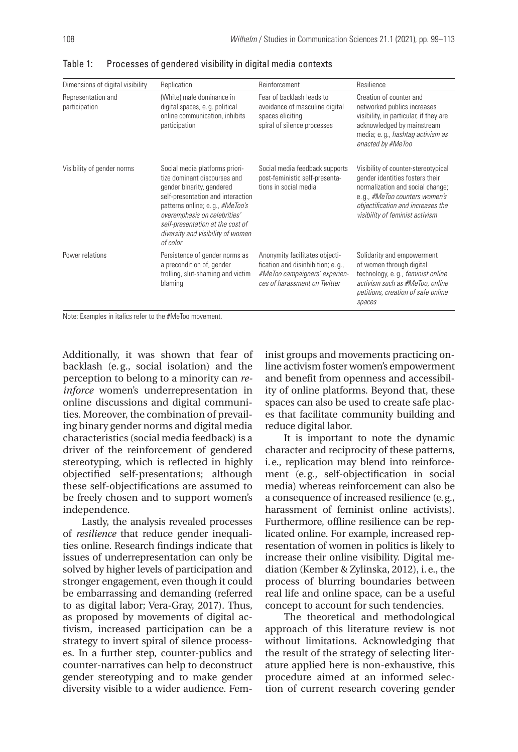| Dimensions of digital visibility    | Replication                                                                                                                                                                                                                                                                              | Reinforcement                                                                                                                         | Resilience                                                                                                                                                                                                          |
|-------------------------------------|------------------------------------------------------------------------------------------------------------------------------------------------------------------------------------------------------------------------------------------------------------------------------------------|---------------------------------------------------------------------------------------------------------------------------------------|---------------------------------------------------------------------------------------------------------------------------------------------------------------------------------------------------------------------|
| Representation and<br>participation | (White) male dominance in<br>digital spaces, e.g. political<br>online communication, inhibits<br>participation                                                                                                                                                                           | Fear of backlash leads to<br>avoidance of masculine digital<br>spaces eliciting<br>spiral of silence processes                        | Creation of counter and<br>networked publics increases<br>visibility, in particular, if they are<br>acknowledged by mainstream<br>media; e.g., hashtag activism as<br>enacted by #MeToo                             |
| Visibility of gender norms          | Social media platforms priori-<br>tize dominant discourses and<br>gender binarity, gendered<br>self-presentation and interaction<br>patterns online; e.g., #MeToo's<br>overemphasis on celebrities'<br>self-presentation at the cost of<br>diversity and visibility of women<br>of color | Social media feedback supports<br>post-feministic self-presenta-<br>tions in social media                                             | Visibility of counter-stereotypical<br>gender identities fosters their<br>normalization and social change;<br>e.g., #MeToo counters women's<br>objectification and increases the<br>visibility of feminist activism |
| Power relations                     | Persistence of gender norms as<br>a precondition of, gender<br>trolling, slut-shaming and victim<br>blaming                                                                                                                                                                              | Anonymity facilitates objecti-<br>fication and disinhibition; e. q.,<br>#MeToo campaigners' experien-<br>ces of harassment on Twitter | Solidarity and empowerment<br>of women through digital<br>technology, e.g., feminist online<br>activism such as #MeToo, online<br>petitions, creation of safe online<br>spaces                                      |

Table 1: Processes of gendered visibility in digital media contexts

Note: Examples in italics refer to the #MeToo movement.

Additionally, it was shown that fear of backlash (e.g., social isolation) and the perception to belong to a minority can *reinforce* women's underrepresentation in online discussions and digital communities. Moreover, the combination of prevailing binary gender norms and digital media characteristics (social media feedback) is a driver of the reinforcement of gendered stereotyping, which is reflected in highly objectified self-presentations; although these self-objectifications are assumed to be freely chosen and to support women's independence.

Lastly, the analysis revealed processes of *resilience* that reduce gender inequalities online. Research findings indicate that issues of underrepresentation can only be solved by higher levels of participation and stronger engagement, even though it could be embarrassing and demanding (referred to as digital labor; Vera-Gray, 2017). Thus, as proposed by movements of digital activism, increased participation can be a strategy to invert spiral of silence processes. In a further step, counter-publics and counter-narratives can help to deconstruct gender stereotyping and to make gender diversity visible to a wider audience. Feminist groups and movements practicing online activism foster women's empowerment and benefit from openness and accessibility of online platforms. Beyond that, these spaces can also be used to create safe places that facilitate community building and reduce digital labor.

It is important to note the dynamic character and reciprocity of these patterns, i. e., replication may blend into reinforcement (e. g., self-objectification in social media) whereas reinforcement can also be a consequence of increased resilience (e. g., harassment of feminist online activists). Furthermore, offline resilience can be replicated online. For example, increased representation of women in politics is likely to increase their online visibility. Digital mediation (Kember & Zylinska, 2012), i. e., the process of blurring boundaries between real life and online space, can be a useful concept to account for such tendencies.

The theoretical and methodological approach of this literature review is not without limitations. Acknowledging that the result of the strategy of selecting literature applied here is non-exhaustive, this procedure aimed at an informed selection of current research covering gender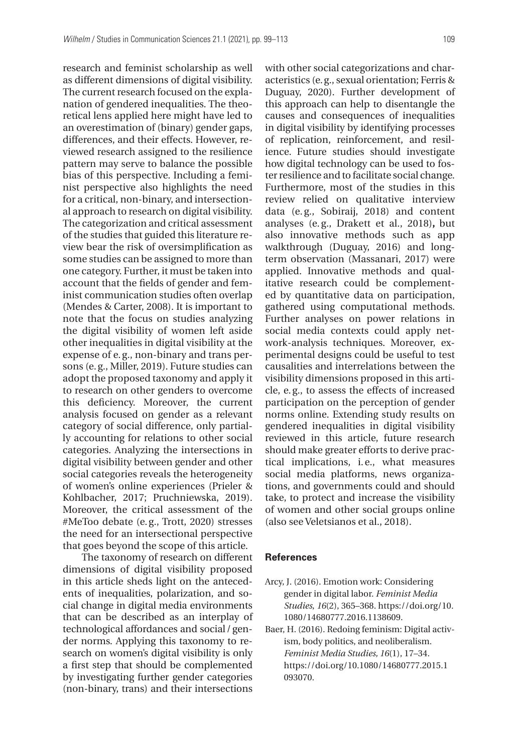research and feminist scholarship as well as different dimensions of digital visibility. The current research focused on the explanation of gendered inequalities. The theoretical lens applied here might have led to an overestimation of (binary) gender gaps, differences, and their effects. However, reviewed research assigned to the resilience pattern may serve to balance the possible bias of this perspective. Including a feminist perspective also highlights the need for a critical, non-binary, and intersectional approach to research on digital visibility. The categorization and critical assessment of the studies that guided this literature review bear the risk of oversimplification as some studies can be assigned to more than one category. Further, it must be taken into account that the fields of gender and feminist communication studies often overlap (Mendes & Carter, 2008). It is important to note that the focus on studies analyzing the digital visibility of women left aside other inequalities in digital visibility at the expense of e. g., non-binary and trans persons (e. g., Miller, 2019). Future studies can adopt the proposed taxonomy and apply it to research on other genders to overcome this deficiency. Moreover, the current analysis focused on gender as a relevant category of social difference, only partially accounting for relations to other social categories. Analyzing the intersections in digital visibility between gender and other social categories reveals the heterogeneity of women's online experiences (Prieler & Kohlbacher, 2017; Pruchniewska, 2019). Moreover, the critical assessment of the #MeToo debate (e. g., Trott, 2020) stresses the need for an intersectional perspective that goes beyond the scope of this article.

The taxonomy of research on different dimensions of digital visibility proposed in this article sheds light on the antecedents of inequalities, polarization, and social change in digital media environments that can be described as an interplay of technological affordances and social / gender norms. Applying this taxonomy to research on women's digital visibility is only a first step that should be complemented by investigating further gender categories (non-binary, trans) and their intersections

with other social categorizations and characteristics (e. g., sexual orientation; Ferris & Duguay, 2020). Further development of this approach can help to disentangle the causes and consequences of inequalities in digital visibility by identifying processes of replication, reinforcement, and resilience. Future studies should investigate how digital technology can be used to foster resilience and to facilitate social change. Furthermore, most of the studies in this review relied on qualitative interview data (e. g., Sobiraij, 2018) and content analyses (e. g., Drakett et al., 2018)**,** but also innovative methods such as app walkthrough (Duguay, 2016) and longterm observation (Massanari, 2017) were applied. Innovative methods and qualitative research could be complemented by quantitative data on participation, gathered using computational methods. Further analyses on power relations in social media contexts could apply network-analysis techniques. Moreover, experimental designs could be useful to test causalities and interrelations between the visibility dimensions proposed in this article, e. g., to assess the effects of increased participation on the perception of gender norms online. Extending study results on gendered inequalities in digital visibility reviewed in this article, future research should make greater efforts to derive practical implications, i.e., what measures social media platforms, news organizations, and governments could and should take, to protect and increase the visibility of women and other social groups online (also see Veletsianos et al., 2018).

#### **References**

- Arcy, J. (2016). Emotion work: Considering gender in digital labor. *Feminist Media Studies*, *16*(2), 365–368. https://doi.org/10. 1080/14680777.2016.1138609.
- Baer, H. (2016). Redoing feminism: Digital activism, body politics, and neoliberalism. *Feminist Media Studies, 16*(1), 17–34. https://doi.org/10.1080/14680777.2015.1 093070.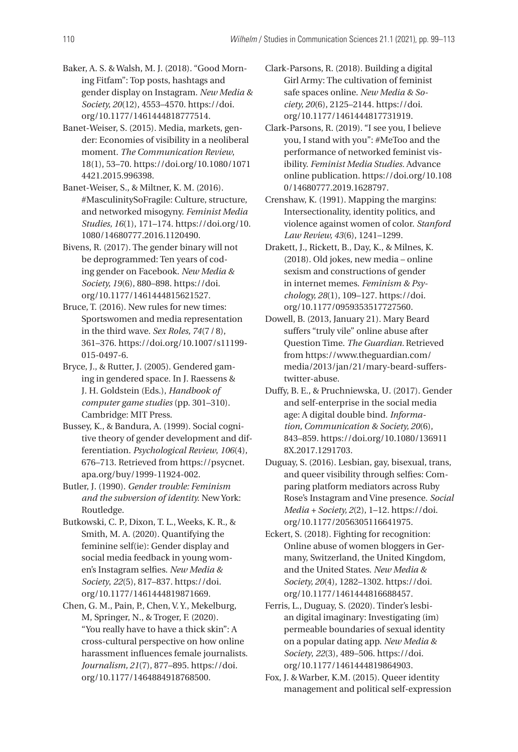- Baker, A. S. & Walsh, M. J. (2018). "Good Morning Fitfam": Top posts, hashtags and gender display on Instagram. *New Media & Society, 20*(12), 4553–4570. https://doi. org/10.1177/1461444818777514.
- Banet-Weiser, S. (2015). Media, markets, gender: Economies of visibility in a neoliberal moment. *The Communication Review*, 18(1), 53–70. https://doi.org/10.1080/1071 4421.2015.996398.
- Banet-Weiser, S., & Miltner, K. M. (2016). #MasculinitySoFragile: Culture, structure, and networked misogyny. *Feminist Media Studies, 16*(1), 171–174. https://doi.org/10. 1080/14680777.2016.1120490.
- Bivens, R. (2017). The gender binary will not be deprogrammed: Ten years of coding gender on Facebook. *New Media & Society, 19*(6), 880–898. https://doi. org/10.1177/1461444815621527.
- Bruce, T. (2016). New rules for new times: Sports women and media representation in the third wave. *Sex Roles, 74*(7 / 8), 361–376. https://doi.org/10.1007/s11199- 015-0497-6.
- Bryce, J., & Rutter, J. (2005). Gendered gaming in gendered space. In J. Raessens & J. H. Goldstein (Eds.), *Handbook of computer game studies* (pp. 301–310). Cambridge: MIT Press.
- Bussey, K., & Bandura, A. (1999). Social cognitive theory of gender development and differentiation. *Psychological Review*, *106*(4), 676–713. Retrieved from https://psycnet. apa.org/buy/1999-11924-002.
- Butler, J. (1990). *Gender trouble: Feminism and the subversion of identity.* New York: Routledge.
- Butkowski, C. P., Dixon, T. L., Weeks, K. R., & Smith, M. A. (2020). Quantifying the feminine self(ie): Gender display and social media feedback in young women's Instagram selfies. *New Media & Society*, *22*(5), 817–837. https://doi. org/10.1177/1461444819871669.
- Chen, G. M., Pain, P., Chen, V. Y., Mekelburg, M, Springer, N., & Troger, F. (2020). "You really have to have a thick skin": A cross-cultural perspective on how online harassment influences female journalists. *Journalism, 21*(7), 877–895. https://doi. org/10.1177/1464884918768500.
- Clark-Parsons, R. (2018). Building a digital Girl Army: The cultivation of feminist safe spaces online. *New Media & Society, 20*(6), 2125–2144. https://doi. org/10.1177/1461444817731919.
- Clark-Parsons, R. (2019). "I see you, I believe you, I stand with you": #MeToo and the performance of networked feminist visibility. *Feminist Media Studies.* Advance online publication. https://doi.org/10.108 0/14680777.2019.1628797.
- Crenshaw, K. (1991). Mapping the margins: Intersectionality, identity politics, and violence against women of color. *Stanford Law Review, 43*(6), 1241–1299.
- Drakett, J., Rickett, B., Day, K., & Milnes, K. (2018). Old jokes, new media – online sexism and constructions of gender in internet memes. *Feminism & Psychology, 28*(1), 109–127. https://doi. org/10.1177/0959353517727560.
- Dowell, B. (2013, January 21). Mary Beard suffers "truly vile" online abuse after Question Time. *The Guardian.* Retrieved from https://www.theguardian.com/ media/2013/jan/21/mary-beard-sufferstwitter-abuse.
- Duffy, B. E., & Pruchniewska, U. (2017). Gender and self-enterprise in the social media age: A digital double bind. *Information, Communication & Society, 20*(6), 843–859. https://doi.org/10.1080/136911 8X.2017.1291703.
- Duguay, S. (2016). Lesbian, gay, bisexual, trans, and queer visibility through selfies: Comparing platform mediators across Ruby Rose's Instagram and Vine presence. *Social Media + Society, 2*(2), 1–12. https://doi. org/10.1177/2056305116641975.
- Eckert, S. (2018). Fighting for recognition: Online abuse of women bloggers in Germany, Switzerland, the United Kingdom, and the United States. *New Media & Society, 20*(4), 1282–1302. https://doi. org/10.1177/1461444816688457.
- Ferris, L., Duguay, S. (2020). Tinder's lesbian digital imaginary: Investigating (im) permeable boundaries of sexual identity on a popular dating app. *New Media & Society*, *22*(3), 489–506. https://doi. org/10.1177/1461444819864903.
- Fox, J. & Warber, K.M. (2015). Queer identity management and political self-expression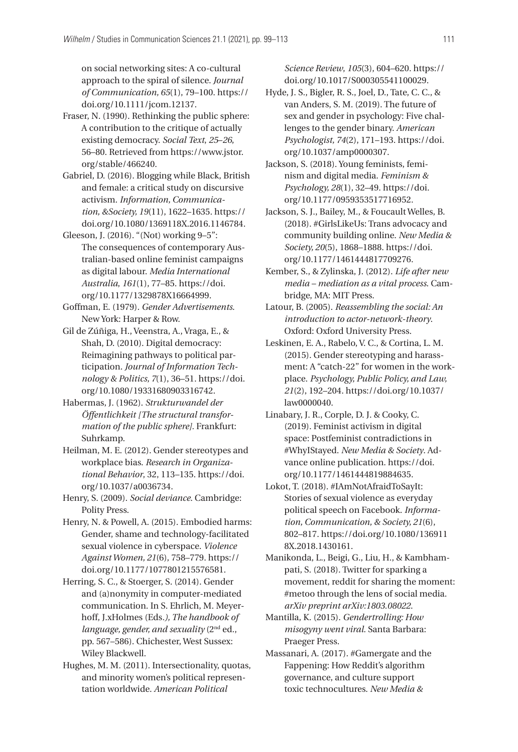on social networking sites: A co-cultural approach to the spiral of silence. *Journal of Communication, 65*(1), 79–100. https:// doi.org/10.1111/jcom.12137.

- Fraser, N. (1990). Rethinking the public sphere: A contribution to the critique of actually existing democracy. *Social Text*, *25*–*26*, 56–80. Retrieved from https://www.jstor. org/stable/466240.
- Gabriel, D. (2016). Blogging while Black, British and female: a critical study on discursive activism. *Information, Communication, &Society, 19*(11), 1622–1635. https:// doi.org/10.1080/1369118X.2016.1146784.
- Gleeson, J. (2016). "(Not) working 9–5": The consequences of contemporary Australian-based online feminist campaigns as digital labour. *Media International Australia*, *161*(1), 77–85. https://doi. org/10.1177/1329878X16664999.
- Goffman, E. (1979). *Gender Advertisements*. New York: Harper & Row.
- Gil de Zúñiga, H., Veenstra, A., Vraga, E., & Shah, D. (2010). Digital democracy: Reimagining pathways to political participation. *Journal of Information Technology & Politics, 7*(1), 36–51. https://doi. org/10.1080/19331680903316742.
- Habermas, J. (1962). *Strukturwandel der Öffent lichkeit [The structural transformation of the public sphere].* Frankfurt: Suhrkamp.
- Heilman, M. E. (2012). Gender stereotypes and workplace bias. *Research in Organizational Behavior*, 32, 113–135. https://doi. org/10.1037/a0036734.
- Henry, S. (2009). *Social deviance*. Cambridge: Polity Press.
- Henry, N. & Powell, A. (2015). Embodied harms: Gender, shame and technology-facilitated sexual violence in cyberspace. *Violence Against Women, 21*(6), 758–779. https:// doi.org/10.1177/1077801215576581.
- Herring, S. C., & Stoerger, S. (2014). Gender and (a)nonymity in computer-mediated communication. In S. Ehrlich, M. Meyerhoff, J.xHolmes (Eds*.), The handbook of language, gender, and sexuality* (2nd ed., pp. 567–586). Chichester, West Sussex: Wiley Blackwell.
- Hughes, M. M. (2011). Intersectionality, quotas, and minority women's political representation worldwide. *American Political*

*Science Review*, *105*(3), 604–620. https:// doi.org/10.1017/S000305541100029.

- Hyde, J. S., Bigler, R. S., Joel, D., Tate, C. C., & van Anders, S. M. (2019). The future of sex and gender in psychology: Five challenges to the gender binary. *American Psychologist, 74*(2), 171–193. https://doi. org/10.1037/amp0000307.
- Jackson, S. (2018). Young feminists, feminism and digital media. *Feminism & Psychology, 28*(1), 32–49. https://doi. org/10.1177/0959353517716952.
- Jackson, S. J., Bailey, M., & Foucault Welles, B. (2018). #GirlsLikeUs: Trans advocacy and community building online. *New Media & Society, 20*(5), 1868–1888. https://doi. org/10.1177/1461444817709276.
- Kember, S., & Zylinska, J. (2012). *Life after new media – mediation as a vital process*. Cambridge, MA: MIT Press.
- Latour, B. (2005). *Reassembling the social: An introduction to actor-network-theory*. Oxford: Oxford University Press.
- Leskinen, E. A., Rabelo, V. C., & Cortina, L. M. (2015). Gender stereotyping and harassment: A "catch-22" for women in the workplace. *Psychology, Public Policy, and Law, 21*(2), 192–204. https://doi.org/10.1037/ law0000040.
- Linabary, J. R., Corple, D. J. & Cooky, C. (2019). Feminist activism in digital space: Postfeminist contradictions in #WhyIStayed. *New Media & Society*. Advance online publication. https://doi. org/10.1177/1461444819884635.
- Lokot, T. (2018). #IAmNotAfraidToSayIt: Stories of sexual violence as everyday political speech on Facebook. *Information, Communication, & Society, 21*(6), 802–817. https://doi.org/10.1080/136911 8X.2018.1430161.
- Manikonda, L., Beigi, G., Liu, H., & Kambhampati, S. (2018). Twitter for sparking a movement, reddit for sharing the moment: #metoo through the lens of social media. *arXiv preprint arXiv:1803.08022*.
- Mantilla, K. (2015). *Gendertrolling: How misogyny went viral.* Santa Barbara: Praeger Press.
- Massanari, A. (2017). #Gamergate and the Fappening: How Reddit's algorithm governance, and culture support toxic technocultures. *New Media &*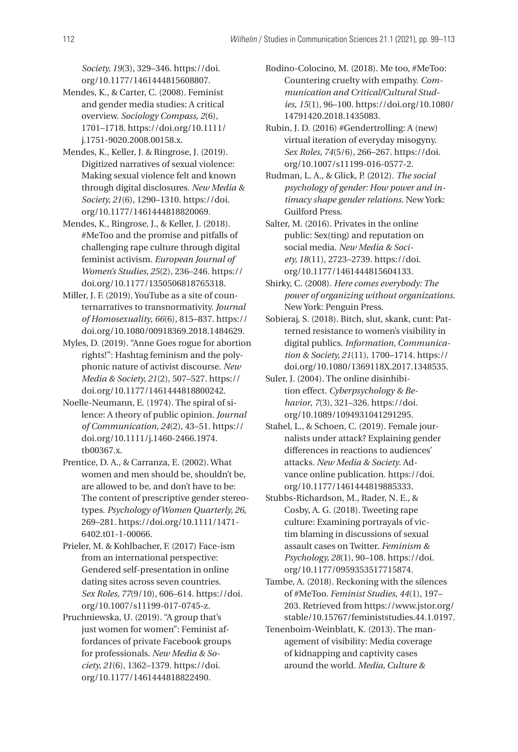*Society, 19*(3), 329–346. https://doi. org/10.1177/1461444815608807.

- Mendes, K., & Carter, C. (2008). Feminist and gender media studies: A critical overview. *Sociology Compass*, *2*(6), 1701–1718. https://doi.org/10.1111/ j.1751-9020.2008.00158.x.
- Mendes, K., Keller, J. & Ringrose, J. (2019). Digitized narratives of sexual violence: Making sexual violence felt and known through digital disclosures. *New Media & Society, 21*(6), 1290–1310. https://doi. org/10.1177/1461444818820069.
- Mendes, K., Ringrose, J., & Keller, J. (2018). #MeToo and the promise and pitfalls of challenging rape culture through digital feminist activism. *European Journal of Women's Studies, 25*(2), 236–246. https:// doi.org/10.1177/1350506818765318.
- Miller, J. F. (2019). YouTube as a site of counternarratives to transnormativity. *Journal of Homosexuality*, *66*(6), 815–837. https:// doi.org/10.1080/00918369.2018.1484629.
- Myles, D. (2019). "Anne Goes rogue for abortion rights!": Hashtag feminism and the polyphonic nature of activist discourse. *New Media & Society, 21*(2), 507–527. https:// doi.org/10.1177/1461444818800242.
- Noelle-Neumann, E. (1974). The spiral of silence: A theory of public opinion. *Journal of Communication, 24*(2), 43–51. https:// doi.org/10.1111/j.1460-2466.1974. tb00367.x.
- Prentice, D. A., & Carranza, E. (2002). What women and men should be, shouldn't be, are allowed to be, and don't have to be: The content of prescriptive gender stereotypes. *Psychology of Women Quarterly, 26*, 269–281. https://doi.org/10.1111/1471- 6402.t01-1-00066.
- Prieler, M. & Kohlbacher, F. (2017) Face-ism from an international perspective: Gendered self-presentation in online dating sites across seven countries. *Sex Roles, 77*(9/10), 606–614. https://doi. org/10.1007/s11199-017-0745-z.
- Pruchniewska, U. (2019). "A group that's just women for women": Feminist affordances of private Facebook groups for professionals. *New Media & Society, 21*(6), 1362–1379. https://doi. org/10.1177/1461444818822490.

Rodino-Colocino, M. (2018). Me too, #MeToo: Countering cruelty with empathy. *Communication and Critical/Cultural Studies*, *15*(1), 96–100. https://doi.org/10.1080/ 14791420.2018.1435083.

- Rubin, J. D. (2016) #Gendertrolling: A (new) virtual iteration of everyday misogyny. *Sex Roles, 74*(5/6), 266–267. https://doi. org/10.1007/s11199-016-0577-2.
- Rudman, L. A., & Glick, P. (2012). *The social psychology of gender: How power and intimacy shape gender relations.* New York: Guilford Press.
- Salter, M. (2016). Privates in the online public: Sex(ting) and reputation on social media. *New Media & Society, 18*(11), 2723–2739. https://doi. org/10.1177/1461444815604133.
- Shirky, C. (2008). *Here comes everybody: The power of organizing without organizations*. New York: Penguin Press.
- Sobieraj, S. (2018). Bitch, slut, skank, cunt: Patterned resistance to women's visibility in digital publics. *Information, Communication & Society, 21*(11), 1700–1714. https:// doi.org/10.1080/1369118X.2017.1348535.
- Suler, J. (2004). The online disinhibition effect. *Cyberpsychology & Behavior*, *7*(3), 321–326. https://doi. org/10.1089/1094931041291295.
- Stahel, L., & Schoen, C. (2019). Female journalists under attack? Explaining gender differences in reactions to audiences' attacks. *New Media & Society*. Advance online publication. https://doi. org/10.1177/1461444819885333.
- Stubbs-Richardson, M., Rader, N. E., & Cosby, A. G. (2018). Tweeting rape culture: Examining portrayals of victim blaming in discussions of sexual assault cases on Twitter. *Feminism & Psychology, 28*(1), 90–108. https://doi. org/10.1177/0959353517715874.
- Tambe, A. (2018). Reckoning with the silences of #MeToo. *Feminist Studies*, *44*(1), 197– 203. Retrieved from https://www.jstor.org/ stable/10.15767/feministstudies.44.1.0197.
- Tenenboim-Weinblatt, K. (2013). The management of visibility: Media coverage of kidnapping and captivity cases around the world. *Media, Culture &*